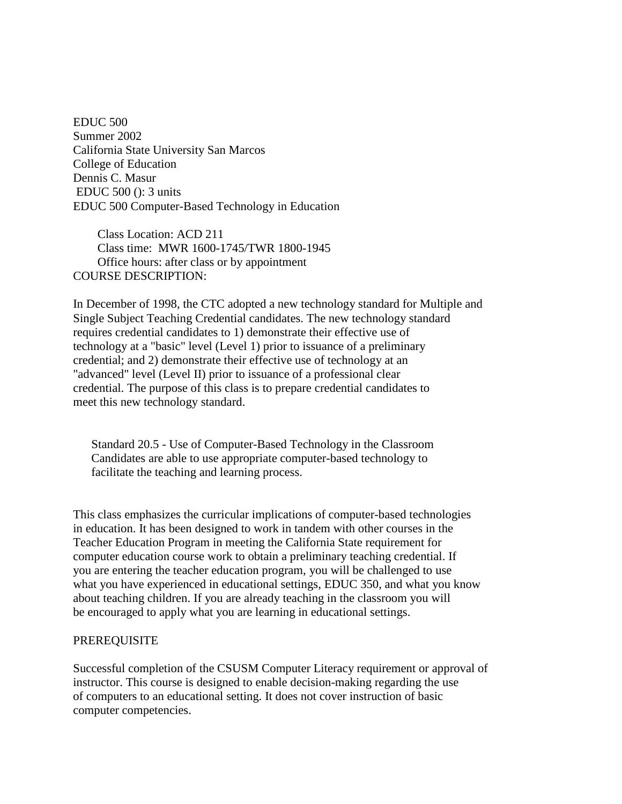EDUC 500 Summer 2002 California State University San Marcos College of Education Dennis C. Masur EDUC 500 (): 3 units EDUC 500 Computer-Based Technology in Education

 Class Location: ACD 211 Class time: MWR 1600-1745/TWR 1800-1945 Office hours: after class or by appointment COURSE DESCRIPTION:

In December of 1998, the CTC adopted a new technology standard for Multiple and Single Subject Teaching Credential candidates. The new technology standard requires credential candidates to 1) demonstrate their effective use of technology at a "basic" level (Level 1) prior to issuance of a preliminary credential; and 2) demonstrate their effective use of technology at an "advanced" level (Level II) prior to issuance of a professional clear credential. The purpose of this class is to prepare credential candidates to meet this new technology standard.

 Standard 20.5 - Use of Computer-Based Technology in the Classroom Candidates are able to use appropriate computer-based technology to facilitate the teaching and learning process.

This class emphasizes the curricular implications of computer-based technologies in education. It has been designed to work in tandem with other courses in the Teacher Education Program in meeting the California State requirement for computer education course work to obtain a preliminary teaching credential. If you are entering the teacher education program, you will be challenged to use what you have experienced in educational settings, EDUC 350, and what you know about teaching children. If you are already teaching in the classroom you will be encouraged to apply what you are learning in educational settings.

### PREREQUISITE

Successful completion of the CSUSM Computer Literacy requirement or approval of instructor. This course is designed to enable decision-making regarding the use of computers to an educational setting. It does not cover instruction of basic computer competencies.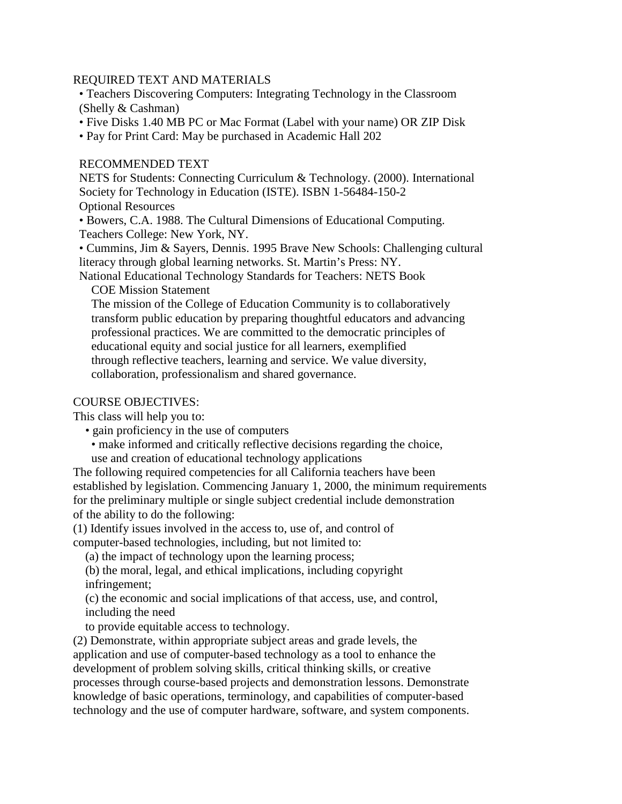## REQUIRED TEXT AND MATERIALS

 • Teachers Discovering Computers: Integrating Technology in the Classroom (Shelly & Cashman)

• Five Disks 1.40 MB PC or Mac Format (Label with your name) OR ZIP Disk

• Pay for Print Card: May be purchased in Academic Hall 202

## RECOMMENDED TEXT

 NETS for Students: Connecting Curriculum & Technology. (2000). International Society for Technology in Education (ISTE). ISBN 1-56484-150-2 Optional Resources

 • Bowers, C.A. 1988. The Cultural Dimensions of Educational Computing. Teachers College: New York, NY.

 • Cummins, Jim & Sayers, Dennis. 1995 Brave New Schools: Challenging cultural literacy through global learning networks. St. Martin's Press: NY.

 National Educational Technology Standards for Teachers: NETS Book COE Mission Statement

 The mission of the College of Education Community is to collaboratively transform public education by preparing thoughtful educators and advancing professional practices. We are committed to the democratic principles of educational equity and social justice for all learners, exemplified through reflective teachers, learning and service. We value diversity, collaboration, professionalism and shared governance.

# COURSE OBJECTIVES:

This class will help you to:

- gain proficiency in the use of computers
- make informed and critically reflective decisions regarding the choice, use and creation of educational technology applications

The following required competencies for all California teachers have been established by legislation. Commencing January 1, 2000, the minimum requirements for the preliminary multiple or single subject credential include demonstration of the ability to do the following:

(1) Identify issues involved in the access to, use of, and control of computer-based technologies, including, but not limited to:

(a) the impact of technology upon the learning process;

 (b) the moral, legal, and ethical implications, including copyright infringement;

 (c) the economic and social implications of that access, use, and control, including the need

to provide equitable access to technology.

(2) Demonstrate, within appropriate subject areas and grade levels, the application and use of computer-based technology as a tool to enhance the development of problem solving skills, critical thinking skills, or creative processes through course-based projects and demonstration lessons. Demonstrate knowledge of basic operations, terminology, and capabilities of computer-based technology and the use of computer hardware, software, and system components.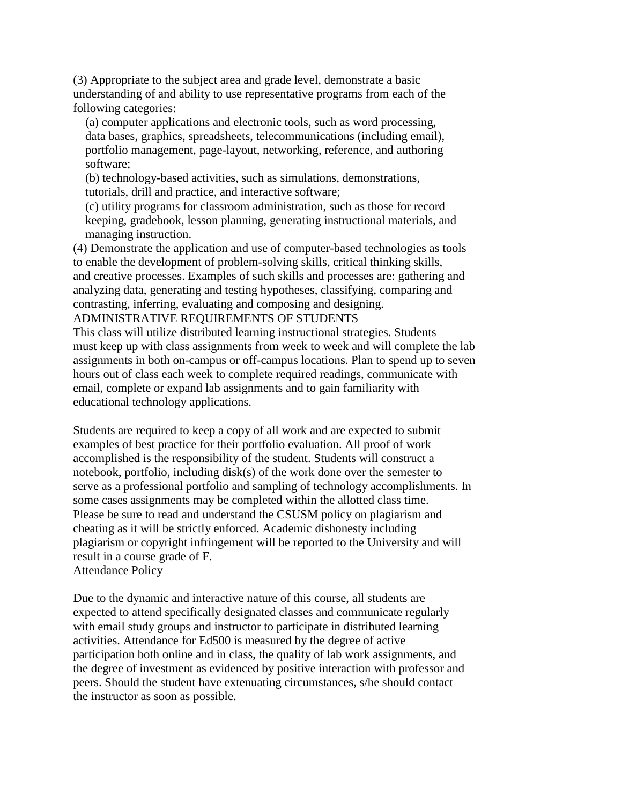(3) Appropriate to the subject area and grade level, demonstrate a basic understanding of and ability to use representative programs from each of the following categories:

 (a) computer applications and electronic tools, such as word processing, data bases, graphics, spreadsheets, telecommunications (including email), portfolio management, page-layout, networking, reference, and authoring software;

 (b) technology-based activities, such as simulations, demonstrations, tutorials, drill and practice, and interactive software;

 (c) utility programs for classroom administration, such as those for record keeping, gradebook, lesson planning, generating instructional materials, and managing instruction.

(4) Demonstrate the application and use of computer-based technologies as tools to enable the development of problem-solving skills, critical thinking skills, and creative processes. Examples of such skills and processes are: gathering and analyzing data, generating and testing hypotheses, classifying, comparing and contrasting, inferring, evaluating and composing and designing.

# ADMINISTRATIVE REQUIREMENTS OF STUDENTS

This class will utilize distributed learning instructional strategies. Students must keep up with class assignments from week to week and will complete the lab assignments in both on-campus or off-campus locations. Plan to spend up to seven hours out of class each week to complete required readings, communicate with email, complete or expand lab assignments and to gain familiarity with educational technology applications.

Students are required to keep a copy of all work and are expected to submit examples of best practice for their portfolio evaluation. All proof of work accomplished is the responsibility of the student. Students will construct a notebook, portfolio, including disk(s) of the work done over the semester to serve as a professional portfolio and sampling of technology accomplishments. In some cases assignments may be completed within the allotted class time. Please be sure to read and understand the CSUSM policy on plagiarism and cheating as it will be strictly enforced. Academic dishonesty including plagiarism or copyright infringement will be reported to the University and will result in a course grade of F. Attendance Policy

Due to the dynamic and interactive nature of this course, all students are expected to attend specifically designated classes and communicate regularly with email study groups and instructor to participate in distributed learning activities. Attendance for Ed500 is measured by the degree of active participation both online and in class, the quality of lab work assignments, and the degree of investment as evidenced by positive interaction with professor and peers. Should the student have extenuating circumstances, s/he should contact the instructor as soon as possible.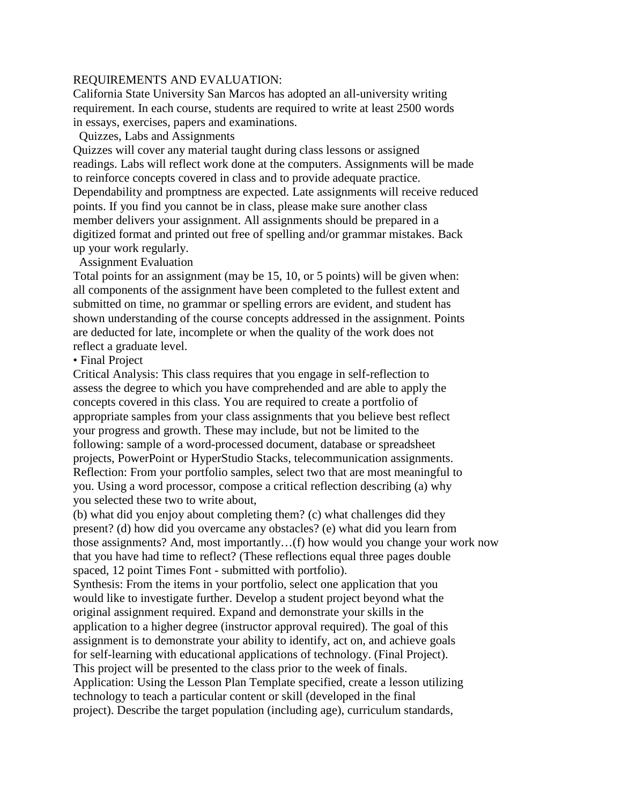### REQUIREMENTS AND EVALUATION:

California State University San Marcos has adopted an all-university writing requirement. In each course, students are required to write at least 2500 words in essays, exercises, papers and examinations.

Quizzes, Labs and Assignments

Quizzes will cover any material taught during class lessons or assigned readings. Labs will reflect work done at the computers. Assignments will be made to reinforce concepts covered in class and to provide adequate practice. Dependability and promptness are expected. Late assignments will receive reduced points. If you find you cannot be in class, please make sure another class member delivers your assignment. All assignments should be prepared in a digitized format and printed out free of spelling and/or grammar mistakes. Back up your work regularly.

Assignment Evaluation

Total points for an assignment (may be 15, 10, or 5 points) will be given when: all components of the assignment have been completed to the fullest extent and submitted on time, no grammar or spelling errors are evident, and student has shown understanding of the course concepts addressed in the assignment. Points are deducted for late, incomplete or when the quality of the work does not reflect a graduate level.

• Final Project

Critical Analysis: This class requires that you engage in self-reflection to assess the degree to which you have comprehended and are able to apply the concepts covered in this class. You are required to create a portfolio of appropriate samples from your class assignments that you believe best reflect your progress and growth. These may include, but not be limited to the following: sample of a word-processed document, database or spreadsheet projects, PowerPoint or HyperStudio Stacks, telecommunication assignments. Reflection: From your portfolio samples, select two that are most meaningful to you. Using a word processor, compose a critical reflection describing (a) why you selected these two to write about,

(b) what did you enjoy about completing them? (c) what challenges did they present? (d) how did you overcame any obstacles? (e) what did you learn from those assignments? And, most importantly…(f) how would you change your work now that you have had time to reflect? (These reflections equal three pages double spaced, 12 point Times Font - submitted with portfolio).

Synthesis: From the items in your portfolio, select one application that you would like to investigate further. Develop a student project beyond what the original assignment required. Expand and demonstrate your skills in the application to a higher degree (instructor approval required). The goal of this assignment is to demonstrate your ability to identify, act on, and achieve goals for self-learning with educational applications of technology. (Final Project). This project will be presented to the class prior to the week of finals. Application: Using the Lesson Plan Template specified, create a lesson utilizing technology to teach a particular content or skill (developed in the final project). Describe the target population (including age), curriculum standards,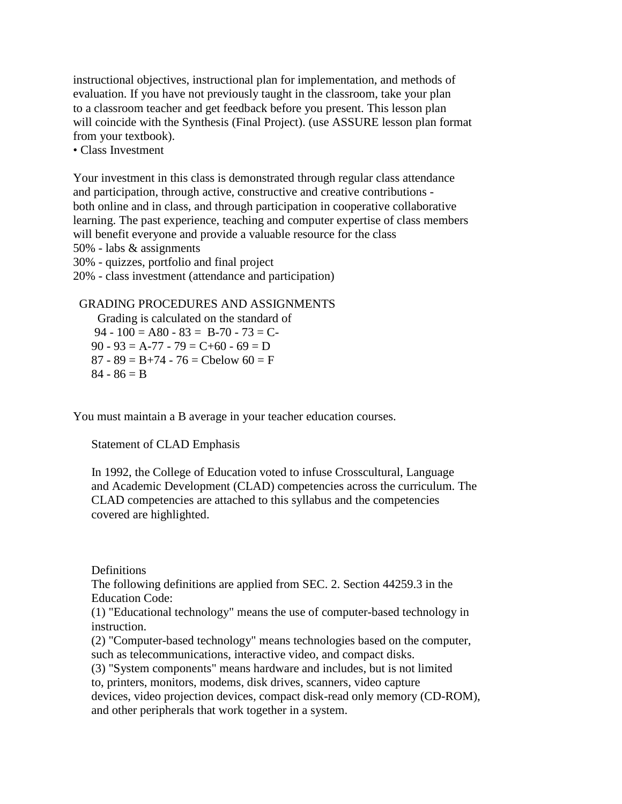instructional objectives, instructional plan for implementation, and methods of evaluation. If you have not previously taught in the classroom, take your plan to a classroom teacher and get feedback before you present. This lesson plan will coincide with the Synthesis (Final Project). (use ASSURE lesson plan format from your textbook).

• Class Investment

Your investment in this class is demonstrated through regular class attendance and participation, through active, constructive and creative contributions both online and in class, and through participation in cooperative collaborative learning. The past experience, teaching and computer expertise of class members will benefit everyone and provide a valuable resource for the class 50% - labs & assignments 30% - quizzes, portfolio and final project

20% - class investment (attendance and participation)

 GRADING PROCEDURES AND ASSIGNMENTS Grading is calculated on the standard of 94 - 100 = A80 - 83 = B-70 - 73 = C- $90 - 93 = A - 77 - 79 = C + 60 - 69 = D$  $87 - 89 = B + 74 - 76 = Chelow 60 = F$  $84 - 86 = B$ 

You must maintain a B average in your teacher education courses.

Statement of CLAD Emphasis

 In 1992, the College of Education voted to infuse Crosscultural, Language and Academic Development (CLAD) competencies across the curriculum. The CLAD competencies are attached to this syllabus and the competencies covered are highlighted.

**Definitions** 

 The following definitions are applied from SEC. 2. Section 44259.3 in the Education Code:

 (1) "Educational technology" means the use of computer-based technology in instruction.

 (2) "Computer-based technology" means technologies based on the computer, such as telecommunications, interactive video, and compact disks.

 (3) "System components" means hardware and includes, but is not limited to, printers, monitors, modems, disk drives, scanners, video capture

 devices, video projection devices, compact disk-read only memory (CD-ROM), and other peripherals that work together in a system.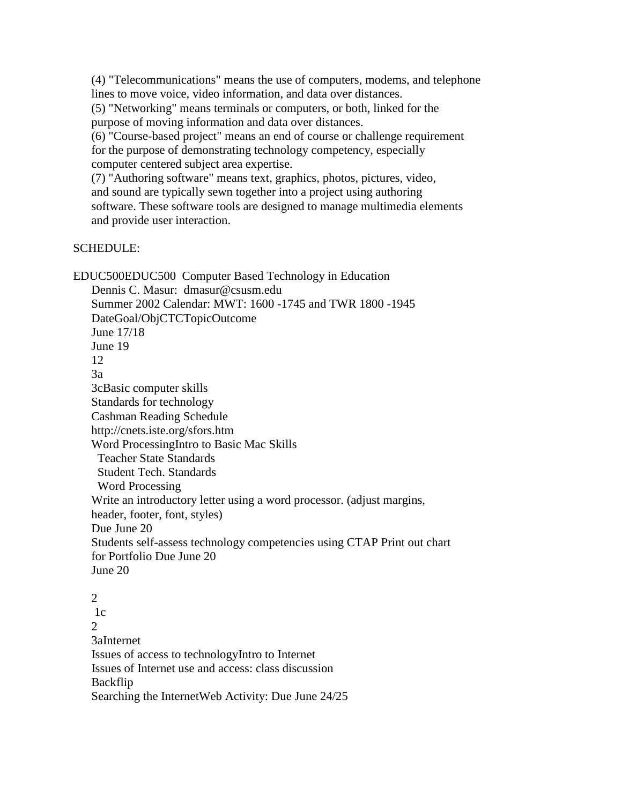(4) "Telecommunications" means the use of computers, modems, and telephone lines to move voice, video information, and data over distances. (5) "Networking" means terminals or computers, or both, linked for the purpose of moving information and data over distances. (6) "Course-based project" means an end of course or challenge requirement for the purpose of demonstrating technology competency, especially computer centered subject area expertise. (7) "Authoring software" means text, graphics, photos, pictures, video, and sound are typically sewn together into a project using authoring software. These software tools are designed to manage multimedia elements and provide user interaction.

## SCHEDULE:

EDUC500EDUC500 Computer Based Technology in Education Dennis C. Masur: dmasur@csusm.edu Summer 2002 Calendar: MWT: 1600 -1745 and TWR 1800 -1945 DateGoal/ObjCTCTopicOutcome June 17/18 June 19 12 3a 3cBasic computer skills Standards for technology Cashman Reading Schedule http://cnets.iste.org/sfors.htm Word ProcessingIntro to Basic Mac Skills Teacher State Standards Student Tech. Standards Word Processing Write an introductory letter using a word processor. (adjust margins, header, footer, font, styles) Due June 20 Students self-assess technology competencies using CTAP Print out chart for Portfolio Due June 20 June 20

 2  $1c$  $\mathcal{L}$  3aInternet Issues of access to technologyIntro to Internet Issues of Internet use and access: class discussion Backflip Searching the InternetWeb Activity: Due June 24/25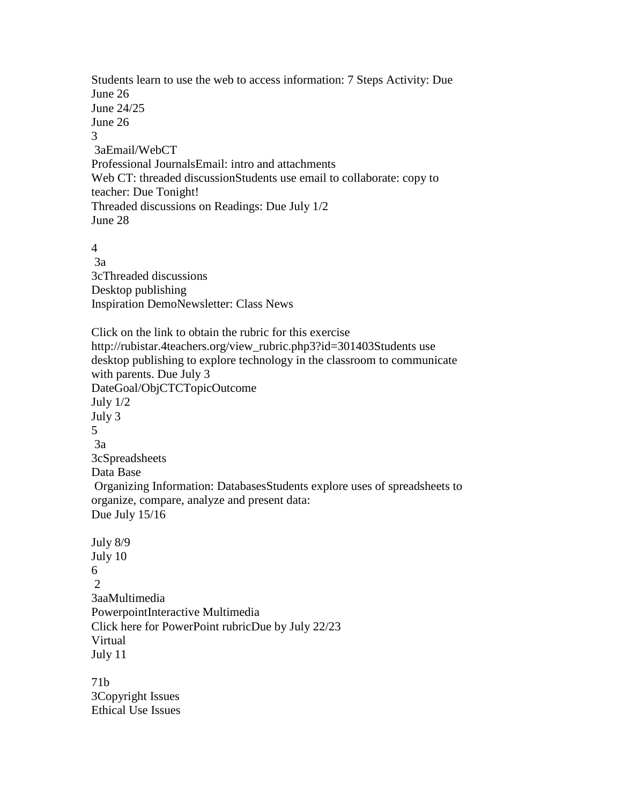Students learn to use the web to access information: 7 Steps Activity: Due June 26 June 24/25 June 26 3 3aEmail/WebCT Professional JournalsEmail: intro and attachments Web CT: threaded discussionStudents use email to collaborate: copy to teacher: Due Tonight! Threaded discussions on Readings: Due July 1/2 June 28 4 3a 3cThreaded discussions Desktop publishing Inspiration DemoNewsletter: Class News Click on the link to obtain the rubric for this exercise http://rubistar.4teachers.org/view\_rubric.php3?id=301403Students use desktop publishing to explore technology in the classroom to communicate with parents. Due July 3 DateGoal/ObjCTCTopicOutcome July 1/2 July 3 5 3a 3cSpreadsheets Data Base Organizing Information: DatabasesStudents explore uses of spreadsheets to organize, compare, analyze and present data: Due July 15/16 July 8/9 July 10 6  $\mathcal{D}$  3aaMultimedia PowerpointInteractive Multimedia Click here for PowerPoint rubricDue by July 22/23 Virtual July 11 71b 3Copyright Issues

Ethical Use Issues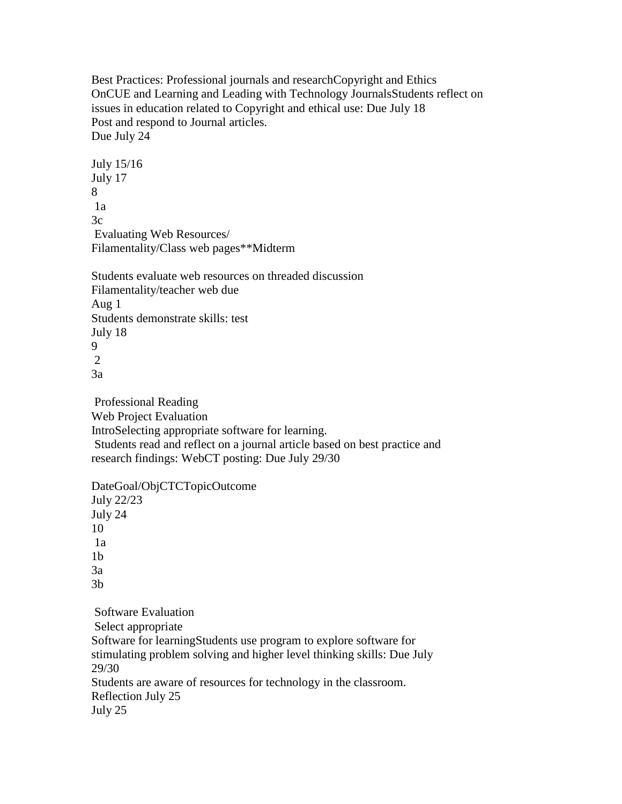Best Practices: Professional journals and researchCopyright and Ethics OnCUE and Learning and Leading with Technology JournalsStudents reflect on issues in education related to Copyright and ethical use: Due July 18 Post and respond to Journal articles. Due July 24

 July 15/16 July 17 8 1a 3c Evaluating Web Resources/ Filamentality/Class web pages\*\*Midterm

 Students evaluate web resources on threaded discussion Filamentality/teacher web due Aug 1 Students demonstrate skills: test July 18 9

2

3a

 Professional Reading Web Project Evaluation IntroSelecting appropriate software for learning. Students read and reflect on a journal article based on best practice and research findings: WebCT posting: Due July 29/30

 DateGoal/ObjCTCTopicOutcome July 22/23 July 24 10 1a  $1<sub>b</sub>$  3a 3b Software Evaluation

 Select appropriate Software for learningStudents use program to explore software for stimulating problem solving and higher level thinking skills: Due July 29/30 Students are aware of resources for technology in the classroom. Reflection July 25 July 25